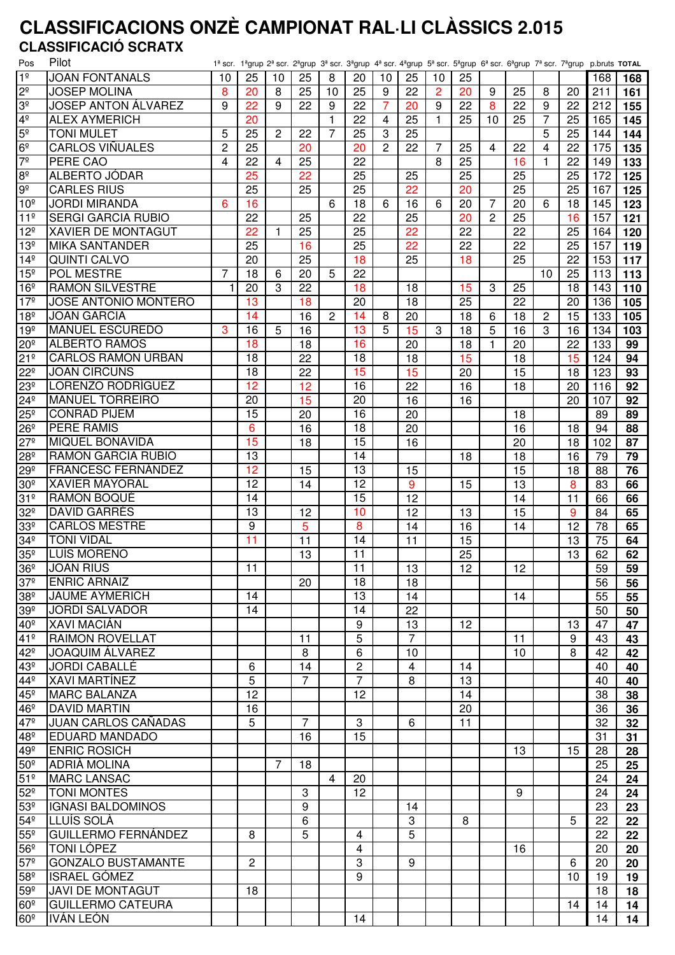# **CLASSIFICACIONS ONZÈ CAMPIONAT RAL·LI CLÀSSICS 2.015 CLASSIFICACIÓ SCRATX**

| Pos             | Pilot                       |                |                |              |                |    |                 |    |    |                |    |                |    |    |    | 1ª scr. 1ªgrup 2ª scr. 2ªgrup 3ª scr. 3ªgrup 4ª scr. 4ªgrup 5ª scr. 5ªgrup 6ª scr. 6ªgrup 7ª scr. 7ªgrup p.bruts TOTAL |     |
|-----------------|-----------------------------|----------------|----------------|--------------|----------------|----|-----------------|----|----|----------------|----|----------------|----|----|----|------------------------------------------------------------------------------------------------------------------------|-----|
| 1 <sup>°</sup>  | <b>JOAN FONTANALS</b>       | 10             | 25             | 10           | 25             | 8  | 20              | 10 | 25 | 10             | 25 |                |    |    |    | 168                                                                                                                    | 168 |
| 2 <sup>o</sup>  | <b>JOSEP MOLINA</b>         | 8              | 20             | 8            | 25             | 10 | 25              | 9  | 22 | $\overline{2}$ | 20 | 9              | 25 | 8  | 20 | 211                                                                                                                    | 161 |
| ვჲ              | <b>JOSEP ANTON ÁLVAREZ</b>  | 9              | 22             | 9            | 22             | 9  | 22              | 7  | 20 | 9              | 22 | 8              | 22 | 9  | 22 | 212                                                                                                                    | 155 |
| 4º              | <b>ALEX AYMERICH</b>        |                | 20             |              |                | 1  | 22              | 4  | 25 | $\mathbf{1}$   | 25 | 10             | 25 | 7  | 25 | 165                                                                                                                    | 145 |
| 5º              | <b>TONI MULET</b>           | 5              | 25             | $\mathbf{2}$ | 22             | 7  | 25              | 3  | 25 |                |    |                |    | 5  | 25 | 144                                                                                                                    | 144 |
| 6 <sup>°</sup>  | CARLOS VIÑUALES             | $\overline{c}$ | 25             |              | 20             |    | 20              | 2  | 22 | 7              | 25 | 4              | 22 | 4  | 22 | 175                                                                                                                    | 135 |
| $7^{\circ}$     | PERE CAO                    | 4              | 22             | 4            | 25             |    | 22              |    |    | 8              | 25 |                | 16 | 1  | 22 | 149                                                                                                                    | 133 |
| 8 <sup>°</sup>  | ALBERTO JÓDAR               |                | 25             |              | 22             |    | 25              |    | 25 |                | 25 |                | 25 |    | 25 | 172                                                                                                                    | 125 |
| $9^{\circ}$     | <b>CARLES RIUS</b>          |                | 25             |              | 25             |    | 25              |    | 22 |                | 20 |                | 25 |    | 25 | 167                                                                                                                    | 125 |
| 10 <sup>°</sup> | <b>JORDI MIRANDA</b>        | 6              | 16             |              |                | 6  | 18              | 6  | 16 | 6              | 20 | $\overline{7}$ | 20 | 6  | 18 | 145                                                                                                                    | 123 |
| 11 <sup>°</sup> | <b>SERGI GARCIA RUBIO</b>   |                | 22             |              | 25             |    | 22              |    | 25 |                | 20 | $\overline{2}$ | 25 |    | 16 | 157                                                                                                                    | 121 |
| $12^{\circ}$    | <b>XAVIER DE MONTAGUT</b>   |                | 22             | 1            | 25             |    | 25              |    | 22 |                | 22 |                | 22 |    | 25 | 164                                                                                                                    | 120 |
| 13 <sup>°</sup> | <b>MIKA SANTANDER</b>       |                | 25             |              | 16             |    | 25              |    | 22 |                | 22 |                | 22 |    | 25 | 157                                                                                                                    | 119 |
| 14 <sup>°</sup> | <b>QUINTI CALVO</b>         |                | 20             |              | 25             |    | 18              |    | 25 |                | 18 |                | 25 |    | 22 | 153                                                                                                                    | 117 |
| $15^{\circ}$    | POL MESTRE                  | 7              | 18             | 6            | 20             | 5  | 22              |    |    |                |    |                |    | 10 | 25 | 113                                                                                                                    | 113 |
| 16 <sup>°</sup> | <b>RAMON SILVESTRE</b>      | 1              | 20             | 3            | 22             |    | 18              |    | 18 |                | 15 | 3              | 25 |    | 18 | 143                                                                                                                    | 110 |
| 17 <sup>°</sup> | <b>JOSE ANTONIO MONTERO</b> |                | 13             |              | 18             |    | 20              |    | 18 |                | 25 |                | 22 |    | 20 | 136                                                                                                                    | 105 |
| 18 <sup>°</sup> | <b>JOAN GARCIA</b>          |                | 14             |              | 16             | 2  | 14              | 8  | 20 |                | 18 | 6              | 18 | 2  | 15 | 133                                                                                                                    | 105 |
| 19 <sup>°</sup> | <b>MANUEL ESCUREDO</b>      | 3              | 16             | 5            | 16             |    | 13              | 5  | 15 | 3              | 18 | 5              | 16 | 3  | 16 | 134                                                                                                                    | 103 |
| 20º             | <b>ALBERTO RAMOS</b>        |                | 18             |              | 18             |    | 16              |    | 20 |                | 18 | 1              | 20 |    | 22 | 133                                                                                                                    | 99  |
| 21 <sup>°</sup> | <b>CARLOS RAMON URBAN</b>   |                | 18             |              | 22             |    | 18              |    | 18 |                | 15 |                | 18 |    | 15 | 124                                                                                                                    | 94  |
| $22^{\circ}$    | <b>JOAN CIRCUNS</b>         |                | 18             |              | 22             |    | 15              |    | 15 |                | 20 |                | 15 |    | 18 | 123                                                                                                                    | 93  |
| 23º             | LORENZO RODRÍGUEZ           |                | 12             |              | 12             |    | 16              |    | 22 |                | 16 |                | 18 |    | 20 | 116                                                                                                                    | 92  |
| $24^{\circ}$    | <b>MANUEL TORREIRO</b>      |                | 20             |              | 15             |    | 20              |    | 16 |                | 16 |                |    |    | 20 | 107                                                                                                                    | 92  |
|                 | <b>CONRAD PIJEM</b>         |                | 15             |              | 20             |    | 16              |    | 20 |                |    |                |    |    |    |                                                                                                                        |     |
| $25^{\circ}$    | <b>PERE RAMIS</b>           |                |                |              |                |    | 18              |    |    |                |    |                | 18 |    |    | 89                                                                                                                     | 89  |
| $26^{\circ}$    |                             |                | 6              |              | 16             |    |                 |    | 20 |                |    |                | 16 |    | 18 | 94                                                                                                                     | 88  |
| $27^{\circ}$    | <b>MIQUEL BONAVIDA</b>      |                | 15             |              | 18             |    | 15              |    | 16 |                |    |                | 20 |    | 18 | 102                                                                                                                    | 87  |
| $28^{\circ}$    | <b>RAMON GARCIA RUBIO</b>   |                | 13             |              |                |    | 14              |    |    |                | 18 |                | 18 |    | 16 | 79                                                                                                                     | 79  |
| $29^{\circ}$    | <b>FRANCESC FERNÁNDEZ</b>   |                | 12             |              | 15             |    | 13              |    | 15 |                |    |                | 15 |    | 18 | 88                                                                                                                     | 76  |
| $30^\circ$      | <b>XAVIER MAYORAL</b>       |                | 12             |              | 14             |    | 12              |    | 9  |                | 15 |                | 13 |    | 8  | 83                                                                                                                     | 66  |
| 31 <sup>°</sup> | RAMON BOQUÉ                 |                | 14             |              |                |    | 15              |    | 12 |                |    |                | 14 |    | 11 | 66                                                                                                                     | 66  |
| 32º             | <b>DAVID GARRÉS</b>         |                | 13             |              | 12             |    | 10              |    | 12 |                | 13 |                | 15 |    | 9  | 84                                                                                                                     | 65  |
| $33^{\circ}$    | <b>CARLOS MESTRE</b>        |                | 9              |              | 5              |    | 8               |    | 14 |                | 16 |                | 14 |    | 12 | 78                                                                                                                     | 65  |
| 34º             | <b>TONI VIDAL</b>           |                | 11             |              | 11             |    | 14              |    | 11 |                | 15 |                |    |    | 13 | 75                                                                                                                     | 64  |
| $35^{\circ}$    | <b>LUÍS MORENO</b>          |                |                |              | 13             |    | 11              |    |    |                | 25 |                |    |    | 13 | 62                                                                                                                     | 62  |
| 36 <sup>°</sup> | <b>JOAN RIUS</b>            |                | 11             |              |                |    | $\overline{11}$ |    | 13 |                | 12 |                | 12 |    |    | 59                                                                                                                     | 59  |
| 37 <sup>°</sup> | <b>ENRIC ARNAIZ</b>         |                |                |              | 20             |    | 18              |    | 18 |                |    |                |    |    |    | 56                                                                                                                     | 56  |
| $38^{\circ}$    | <b>JAUME AYMERICH</b>       |                | 14             |              |                |    | 13              |    | 14 |                |    |                | 14 |    |    | 55                                                                                                                     | 55  |
| 39 <sup>°</sup> | <b>JORDI SALVADOR</b>       |                | 14             |              |                |    | 14              |    | 22 |                |    |                |    |    |    | 50                                                                                                                     | 50  |
| $40^{\circ}$    | <b>XAVI MACIÁN</b>          |                |                |              |                |    | 9               |    | 13 |                | 12 |                |    |    | 13 | 47                                                                                                                     | 47  |
| 41 <sup>°</sup> | <b>RAIMON ROVELLAT</b>      |                |                |              | 11             |    | 5               |    | 7  |                |    |                | 11 |    | 9  | 43                                                                                                                     | 43  |
| 42º             | <b>JOAQUIM ÁLVAREZ</b>      |                |                |              | 8              |    | 6               |    | 10 |                |    |                | 10 |    | 8  | 42                                                                                                                     | 42  |
| 43º             | <b>JORDI CABALLÉ</b>        |                | 6              |              | 14             |    | $\overline{c}$  |    | 4  |                | 14 |                |    |    |    | 40                                                                                                                     | 40  |
| 44º             | <b>XAVI MARTÍNEZ</b>        |                | 5              |              | $\overline{7}$ |    | $\overline{7}$  |    | 8  |                | 13 |                |    |    |    | 40                                                                                                                     | 40  |
| $45^{\circ}$    | <b>MARC BALANZA</b>         |                | 12             |              |                |    | 12              |    |    |                | 14 |                |    |    |    | 38                                                                                                                     | 38  |
| $46^{\circ}$    | <b>DAVID MARTIN</b>         |                | 16             |              |                |    |                 |    |    |                | 20 |                |    |    |    | 36                                                                                                                     | 36  |
| 47º             | <b>JUAN CARLOS CAÑADAS</b>  |                | 5              |              | $\overline{7}$ |    | 3               |    | 6  |                | 11 |                |    |    |    | 32                                                                                                                     | 32  |
| 48º             | <b>EDUARD MANDADO</b>       |                |                |              | 16             |    | 15              |    |    |                |    |                |    |    |    | 31                                                                                                                     | 31  |
| 49º             | <b>ENRIC ROSICH</b>         |                |                |              |                |    |                 |    |    |                |    |                | 13 |    | 15 | 28                                                                                                                     | 28  |
| 50 <sup>°</sup> | ADRIÀ MOLINA                |                |                | 7            | 18             |    |                 |    |    |                |    |                |    |    |    | 25                                                                                                                     | 25  |
| 51 <sup>°</sup> | <b>MARC LANSAC</b>          |                |                |              |                | 4  | 20              |    |    |                |    |                |    |    |    | 24                                                                                                                     | 24  |
| $52^{\circ}$    | <b>TONI MONTES</b>          |                |                |              | 3              |    | 12              |    |    |                |    |                | 9  |    |    | 24                                                                                                                     | 24  |
| 53 <sup>°</sup> | <b>IGNASI BALDOMINOS</b>    |                |                |              | 9              |    |                 |    | 14 |                |    |                |    |    |    | 23                                                                                                                     | 23  |
| $54^{\circ}$    | LLUÍS SOLA                  |                |                |              | $\,6$          |    |                 |    | 3  |                | 8  |                |    |    | 5  | 22                                                                                                                     | 22  |
| $55^{\circ}$    | <b>GUILLERMO FERNÁNDEZ</b>  |                | 8              |              | 5              |    | 4               |    | 5  |                |    |                |    |    |    | 22                                                                                                                     | 22  |
| 56 <sup>°</sup> | TONI LÓPEZ                  |                |                |              |                |    | 4               |    |    |                |    |                | 16 |    |    | 20                                                                                                                     | 20  |
| $57^{\circ}$    | <b>GONZALO BUSTAMANTE</b>   |                | $\overline{2}$ |              |                |    | 3               |    | 9  |                |    |                |    |    | 6  | 20                                                                                                                     | 20  |
| $58^{\circ}$    | <b>ISRAEL GÓMEZ</b>         |                |                |              |                |    | 9               |    |    |                |    |                |    |    | 10 | 19                                                                                                                     | 19  |
| $59^{\circ}$    | JAVI DE MONTAGUT            |                | 18             |              |                |    |                 |    |    |                |    |                |    |    |    | 18                                                                                                                     | 18  |
| $60^{\circ}$    | <b>GUILLERMO CATEURA</b>    |                |                |              |                |    |                 |    |    |                |    |                |    |    | 14 | 14                                                                                                                     | 14  |
| $60^{\circ}$    | IVÁN LEÓN                   |                |                |              |                |    | 14              |    |    |                |    |                |    |    |    | 14                                                                                                                     | 14  |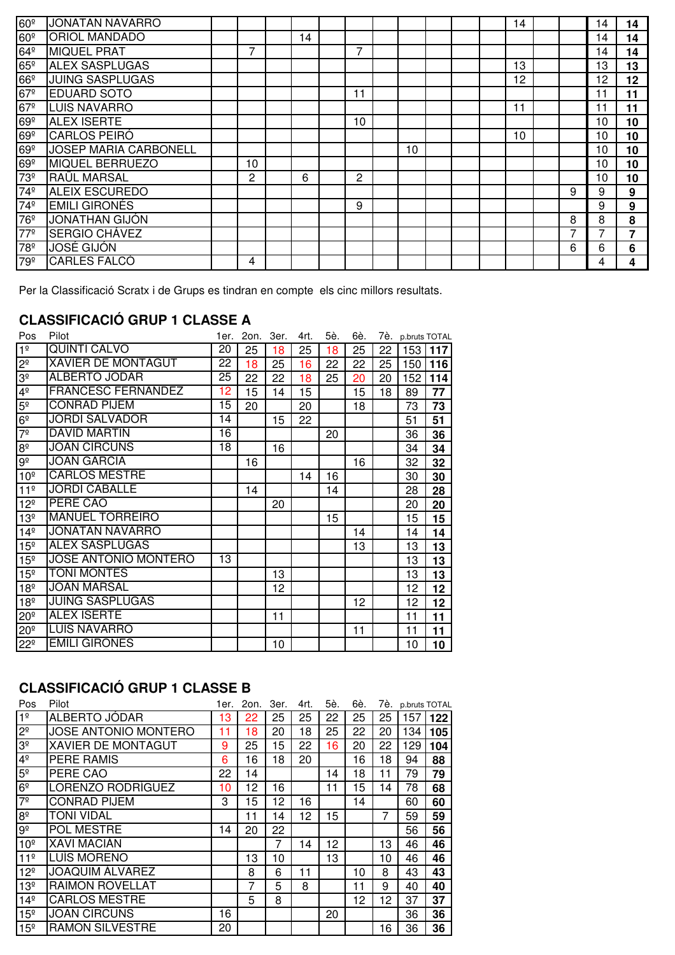| 60 <sup>°</sup> | <b>JONATAN NAVARRO</b>       |    |    |    |    |  | 14 |   | 14 | 14 |
|-----------------|------------------------------|----|----|----|----|--|----|---|----|----|
| 60 <sup>°</sup> | <b>ORIOL MANDADO</b>         |    | 14 |    |    |  |    |   | 14 | 14 |
| $64^{\circ}$    | <b>MIQUEL PRAT</b>           |    |    | ⇁  |    |  |    |   | 4  | 14 |
| $65^\circ$      | <b>ALEX SASPLUGAS</b>        |    |    |    |    |  | 13 |   | 13 | 13 |
| $66^{\circ}$    | <b>JUING SASPLUGAS</b>       |    |    |    |    |  | 12 |   | 12 | 12 |
| 67 <sup>°</sup> | <b>EDUARD SOTO</b>           |    |    | 11 |    |  |    |   |    | 11 |
| $67^{\circ}$    | <b>LUIS NAVARRO</b>          |    |    |    |    |  | 11 |   |    | 11 |
| $69^{\circ}$    | <b>ALEX ISERTE</b>           |    |    | 10 |    |  |    |   | 10 | 10 |
| $69^{\circ}$    | <b>CARLOS PEIRÓ</b>          |    |    |    |    |  | 10 |   | 10 | 10 |
| $69^{\circ}$    | <b>JOSEP MARIA CARBONELL</b> |    |    |    | 10 |  |    |   | 10 | 10 |
| $69^{\circ}$    | <b>MIQUEL BERRUEZO</b>       | 10 |    |    |    |  |    |   | 10 | 10 |
| 73 <sup>°</sup> | <b>RAÜL MARSAL</b>           | 2  | 6  | 2  |    |  |    |   | 10 | 10 |
| 74º             | <b>ALEIX ESCUREDO</b>        |    |    |    |    |  |    | 9 | 9  | 9  |
| 74º             | <b>EMILI GIRONÉS</b>         |    |    | 9  |    |  |    |   | 9  | 9  |
| 76 <sup>o</sup> | <b>JONATHAN GIJÓN</b>        |    |    |    |    |  |    | 8 | 8  | 8  |
| 77 <sup>°</sup> | SERGIO CHÁVEZ                |    |    |    |    |  |    | 7 |    | 7  |
| 78 <sup>°</sup> | <b>JOSÉ GIJÓN</b>            |    |    |    |    |  |    | 6 | 6  | 6  |
| 79 <sup>º</sup> | <b>CARLES FALCÓ</b>          | 4  |    |    |    |  |    |   | 4  | 4  |

Per la Classificació Scratx i de Grups es tindran en compte els cinc millors resultats.

### **CLASSIFICACIÓ GRUP 1 CLASSE A**

| Pos                 | Pilot                       | 1er. | 2on. | 3er. | 4rt. | 5è. | 6è. |    | 7è. p.bruts TOTAL |     |
|---------------------|-----------------------------|------|------|------|------|-----|-----|----|-------------------|-----|
| 1 <sup>°</sup>      | QUINTI CALVO                | 20   | 25   | 18   | 25   | 18  | 25  | 22 | 153               | 117 |
| $2^{\circ}$         | <b>XAVIER DE MONTAGUT</b>   | 22   | 18   | 25   | 16   | 22  | 22  | 25 | 150               | 116 |
| $3^{\circ}$         | <b>ALBERTO JÓDAR</b>        | 25   | 22   | 22   | 18   | 25  | 20  | 20 | 152               | 114 |
| 4 <sup>°</sup>      | <b>FRANCESC FERNANDEZ</b>   | 12   | 15   | 14   | 15   |     | 15  | 18 | 89                | 77  |
| $5^{\circ}$         | <b>CONRAD PIJEM</b>         | 15   | 20   |      | 20   |     | 18  |    | 73                | 73  |
| 6 <sup>°</sup>      | <b>JORDI SALVADOR</b>       | 14   |      | 15   | 22   |     |     |    | 51                | 51  |
| 7 <sup>°</sup>      | <b>DAVID MARTIN</b>         | 16   |      |      |      | 20  |     |    | 36                | 36  |
| $8^{\circ}$         | <b>JOAN CIRCUNS</b>         | 18   |      | 16   |      |     |     |    | 34                | 34  |
| $9^{\sf o}$         | <b>JOAN GARCIA</b>          |      | 16   |      |      |     | 16  |    | 32                | 32  |
| 10 <sup>°</sup>     | <b>CARLOS MESTRE</b>        |      |      |      | 14   | 16  |     |    | 30                | 30  |
| 11 <sup>°</sup>     | <b>JORDI CABALLÉ</b>        |      | 14   |      |      | 14  |     |    | 28                | 28  |
| 12 <sup>°</sup>     | PERE CAO                    |      |      | 20   |      |     |     |    | 20                | 20  |
| 13 <sup>°</sup>     | <b>MANUEL TORREIRO</b>      |      |      |      |      | 15  |     |    | 15                | 15  |
| 14 <sup>°</sup>     | <b>JONATAN NAVARRO</b>      |      |      |      |      |     | 14  |    | 14                | 14  |
| 15 <sup>°</sup>     | <b>ALEX SASPLUGAS</b>       |      |      |      |      |     | 13  |    | 13                | 13  |
| 15 <sup>°</sup>     | <b>JOSE ANTONIO MONTERO</b> | 13   |      |      |      |     |     |    | 13                | 13  |
| 15 <sup>°</sup>     | <b>TONI MONTES</b>          |      |      | 13   |      |     |     |    | 13                | 13  |
| 18 <sup>°</sup>     | <b>JOAN MARSAL</b>          |      |      | 12   |      |     |     |    | 12                | 12  |
| 18 <sup>°</sup>     | <b>JUING SASPLUGAS</b>      |      |      |      |      |     | 12  |    | 12                | 12  |
| $20^{\circ}$        | <b>ALEX ISERTE</b>          |      |      | 11   |      |     |     |    | 11                | 11  |
| $20^{\overline{2}}$ | <b>LUIS NAVARRO</b>         |      |      |      |      |     | 11  |    | 11                | 11  |
| $22^{\circ}$        | <b>EMILI GIRONÉS</b>        |      |      | 10   |      |     |     |    | 10                | 10  |

# **CLASSIFICACIÓ GRUP 1 CLASSE B**

| Pos             | Pilot                       | 1er. | 2on. | 3er. | 4rt. | 5è. | 6è. | 7è. |     | p.bruts TOTAL |
|-----------------|-----------------------------|------|------|------|------|-----|-----|-----|-----|---------------|
| 1 <sup>°</sup>  | ALBERTO JÓDAR               | 13   | 22   | 25   | 25   | 22  | 25  | 25  | 157 | 122           |
| $2^{\circ}$     | <b>JOSE ANTONIO MONTERO</b> | 11   | 18   | 20   | 18   | 25  | 22  | 20  | 134 | 105           |
| 3 <sup>o</sup>  | <b>XAVIER DE MONTAGUT</b>   | 9    | 25   | 15   | 22   | 16  | 20  | 22  | 129 | 104           |
| 4 <sup>°</sup>  | <b>PERE RAMIS</b>           | 6    | 16   | 18   | 20   |     | 16  | 18  | 94  | 88            |
| 5 <sup>o</sup>  | PERE CAO                    | 22   | 14   |      |      | 14  | 18  | 11  | 79  | 79            |
| 6 <sup>°</sup>  | LORENZO RODRÍGUEZ           | 10   | 12   | 16   |      | 11  | 15  | 14  | 78  | 68            |
| 7 <sup>°</sup>  | <b>CONRAD PIJEM</b>         | 3    | 15   | 12   | 16   |     | 14  |     | 60  | 60            |
| 8 <sup>°</sup>  | <b>TONI VIDAL</b>           |      | 11   | 14   | 12   | 15  |     | 7   | 59  | 59            |
| $9^{\sf o}$     | POL MESTRE                  | 14   | 20   | 22   |      |     |     |     | 56  | 56            |
| 10 <sup>°</sup> | <b>XAVI MACIÁN</b>          |      |      | 7    | 14   | 12  |     | 13  | 46  | 46            |
| 11 <sup>°</sup> | LUÍS MORENO                 |      | 13   | 10   |      | 13  |     | 10  | 46  | 46            |
| $12^{\circ}$    | <b>JOAQUIM ÁLVAREZ</b>      |      | 8    | 6    | 11   |     | 10  | 8   | 43  | 43            |
| 13 <sup>°</sup> | <b>RAIMON ROVELLAT</b>      |      | 7    | 5    | 8    |     | 11  | 9   | 40  | 40            |
| 14 <sup>°</sup> | <b>CARLOS MESTRE</b>        |      | 5    | 8    |      |     | 12  | 12  | 37  | 37            |
| 15 <sup>°</sup> | <b>JOAN CIRCUNS</b>         | 16   |      |      |      | 20  |     |     | 36  | 36            |
| 15 <sup>°</sup> | <b>RAMON SILVESTRE</b>      | 20   |      |      |      |     |     | 16  | 36  | 36            |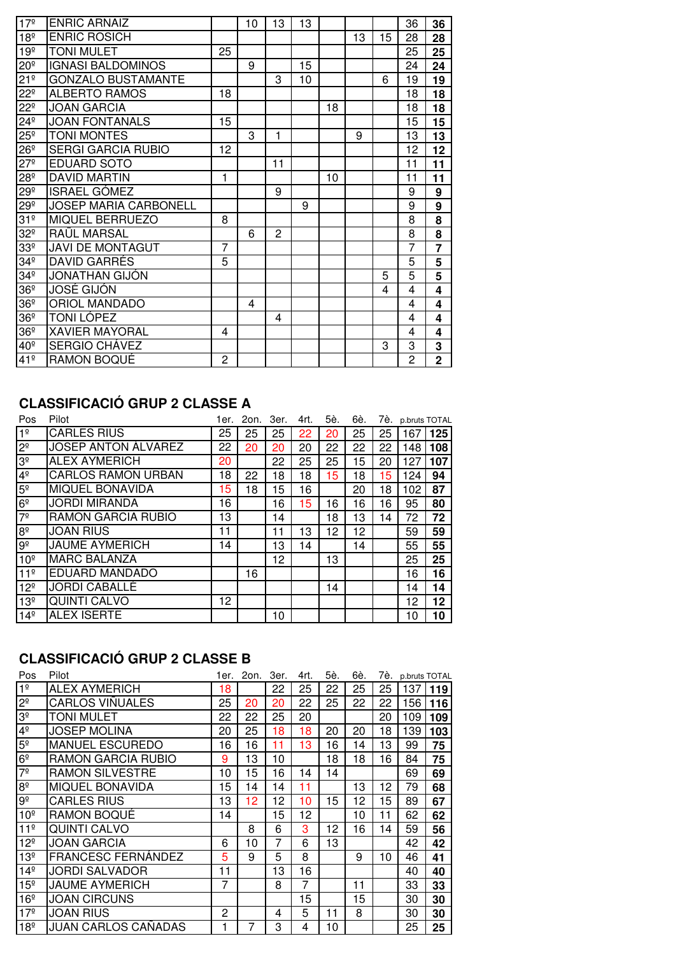| 17 <sup>°</sup>     | <b>ENRIC ARNAIZ</b>          |                | 10 | 13 | 13 |    |    |    | 36             | 36             |
|---------------------|------------------------------|----------------|----|----|----|----|----|----|----------------|----------------|
| 18 <sup>°</sup>     | <b>ENRIC ROSICH</b>          |                |    |    |    |    | 13 | 15 | 28             | 28             |
| 19 <sup>°</sup>     | <b>TONI MULET</b>            | 25             |    |    |    |    |    |    | 25             | 25             |
| $20^{\overline{2}}$ | <b>IGNASI BALDOMINOS</b>     |                | 9  |    | 15 |    |    |    | 24             | 24             |
| 21 <sup>°</sup>     | <b>GONZALO BUSTAMANTE</b>    |                |    | 3  | 10 |    |    | 6  | 19             | 19             |
| $22^{\circ}$        | <b>ALBERTO RAMOS</b>         | 18             |    |    |    |    |    |    | 18             | 18             |
| $22^{\circ}$        | <b>JOAN GARCIA</b>           |                |    |    |    | 18 |    |    | 18             | 18             |
| $24^{\circ}$        | <b>JOAN FONTANALS</b>        | 15             |    |    |    |    |    |    | 15             | 15             |
| $25^{\circ}$        | <b>TONI MONTES</b>           |                | 3  | 1  |    |    | 9  |    | 13             | 13             |
| $26^{\circ}$        | <b>SERGI GARCIA RUBIO</b>    | 12             |    |    |    |    |    |    | 12             | 12             |
| $27^{\circ}$        | <b>EDUARD SOTO</b>           |                |    | 11 |    |    |    |    | 11             | 11             |
| $28^{\circ}$        | <b>DAVID MARTIN</b>          | 1              |    |    |    | 10 |    |    | 11             | 11             |
| $29^{\circ}$        | <b>ISRAEL GÓMEZ</b>          |                |    | 9  |    |    |    |    | 9              | 9              |
| $29^{\circ}$        | <b>JOSEP MARIA CARBONELL</b> |                |    |    | 9  |    |    |    | 9              | 9              |
| 31 <sup>°</sup>     | <b>MIQUEL BERRUEZO</b>       | 8              |    |    |    |    |    |    | 8              | 8              |
| 32 <sup>°</sup>     | RAÜL MARSAL                  |                | 6  | 2  |    |    |    |    | 8              | 8              |
| 33 <sup>°</sup>     | <b>JAVI DE MONTAGUT</b>      | $\overline{7}$ |    |    |    |    |    |    | $\overline{7}$ |                |
| 34 <sup>°</sup>     | DAVID GARRÉS                 | 5              |    |    |    |    |    |    | 5              | 5              |
| 34 <sup>°</sup>     | <b>JONATHAN GIJÓN</b>        |                |    |    |    |    |    | 5  | 5              | $\overline{5}$ |
| 36 <sup>°</sup>     | JOSÉ GIJÓN                   |                |    |    |    |    |    | 4  | 4              | 4              |
| 36 <sup>°</sup>     | <b>ORIOL MANDADO</b>         |                | 4  |    |    |    |    |    | 4              | 4              |
| 36 <sup>°</sup>     | <b>TONI LÓPEZ</b>            |                |    | 4  |    |    |    |    | 4              | 4              |
| 36 <sup>°</sup>     | <b>XAVIER MAYORAL</b>        | 4              |    |    |    |    |    |    | 4              | 4              |
| 40 <sup>°</sup>     | SERGIO CHÁVEZ                |                |    |    |    |    |    | 3  | 3              | 3              |
| 41 <sup>°</sup>     | <b>RAMON BOQUÉ</b>           | $\overline{c}$ |    |    |    |    |    |    | $\overline{c}$ | $\overline{2}$ |

## **CLASSIFICACIÓ GRUP 2 CLASSE A**

| Pos                           | Pilot                      | 1er. I | 2on. 3er. |    | 4rt. | 5è. | 6è. |    | 7è. p.bruts TOTAL |                 |
|-------------------------------|----------------------------|--------|-----------|----|------|-----|-----|----|-------------------|-----------------|
| 1 <sup>°</sup>                | <b>CARLES RIUS</b>         | 25     | 25        | 25 | 22   | 20  | 25  | 25 | 167               | 125             |
| 2 <sup>0</sup>                | <b>JOSEP ANTON ÁLVAREZ</b> | 22     | 20        | 20 | 20   | 22  | 22  | 22 | 148               | 108             |
| $\frac{3^{\circ}}{4^{\circ}}$ | <b>ALEX AYMERICH</b>       | 20     |           | 22 | 25   | 25  | 15  | 20 | 127               | 107             |
|                               | <b>CARLOS RAMON URBAN</b>  | 18     | 22        | 18 | 18   | 15  | 18  | 15 | 124               | 94              |
| 5 <sup>°</sup>                | <b>MIQUEL BONAVIDA</b>     | 15     | 18        | 15 | 16   |     | 20  | 18 | 102               | 87              |
| $rac{6^{\circ}}{7^{\circ}}$   | <b>JORDI MIRANDA</b>       | 16     |           | 16 | 15   | 16  | 16  | 16 | 95                | 80              |
|                               | RAMON GARCIA RUBIO         | 13     |           | 14 |      | 18  | 13  | 14 | 72                | 72              |
| $rac{8}{9}$                   | <b>JOAN RIUS</b>           | 11     |           | 11 | 13   | 12  | 12  |    | 59                | 59              |
|                               | <b>JAUME AYMERICH</b>      | 14     |           | 13 | 14   |     | 14  |    | 55                | 55              |
| 10 <sup>°</sup>               | <b>MARC BALANZA</b>        |        |           | 12 |      | 13  |     |    | 25                | 25              |
| 11 <sup>°</sup>               | EDUARD MANDADO             |        | 16        |    |      |     |     |    | 16                | 16              |
| 12 <sup>°</sup>               | <b>JORDI CABALLÉ</b>       |        |           |    |      | 14  |     |    | 14                | 14              |
| 13 <sup>°</sup>               | <b>QUINTI CALVO</b>        | 12     |           |    |      |     |     |    | 12                | 12 <sub>2</sub> |
| 14 <sup>°</sup>               | <b>ALEX ISERTE</b>         |        |           | 10 |      |     |     |    | 10                | 10              |

## **CLASSIFICACIÓ GRUP 2 CLASSE B**

| Pos             | Pilot                     | 1er. | 2on. | 3er. | 4rt. | 5è. | 6è. | 7è. | p.bruts TOTAL |     |
|-----------------|---------------------------|------|------|------|------|-----|-----|-----|---------------|-----|
| 1 <sup>°</sup>  | <b>ALEX AYMERICH</b>      | 18   |      | 22   | 25   | 22  | 25  | 25  | 137           | 119 |
| 2 <sup>o</sup>  | <b>CARLOS VIÑUALES</b>    | 25   | 20   | 20   | 22   | 25  | 22  | 22  | 156           | 116 |
| $3^{\circ}$     | <b>TONI MULET</b>         | 22   | 22   | 25   | 20   |     |     | 20  | 109           | 109 |
| $4^{\circ}$     | <b>JOSEP MOLINA</b>       | 20   | 25   | 18   | 18   | 20  | 20  | 18  | 139           | 103 |
| 5 <sup>o</sup>  | <b>MANUEL ESCUREDO</b>    | 16   | 16   | 11   | 13   | 16  | 14  | 13  | 99            | 75  |
| 6 <sup>°</sup>  | RAMON GARCIA RUBIO        | 9    | 13   | 10   |      | 18  | 18  | 16  | 84            | 75  |
| $7^{\circ}$     | <b>RAMON SILVESTRE</b>    | 10   | 15   | 16   | 14   | 14  |     |     | 69            | 69  |
| $8^{\circ}$     | <b>MIQUEL BONAVIDA</b>    | 15   | 14   | 14   | 11   |     | 13  | 12  | 79            | 68  |
| $9^{\circ}$     | <b>CARLES RIUS</b>        | 13   | 12   | 12   | 10   | 15  | 12  | 15  | 89            | 67  |
| 10 <sup>°</sup> | RAMON BOQUÉ               | 14   |      | 15   | 12   |     | 10  | 11  | 62            | 62  |
| 11 <sup>°</sup> | <b>QUINTI CALVO</b>       |      | 8    | 6    | 3    | 12  | 16  | 14  | 59            | 56  |
| $12^{\circ}$    | JOAN GARCIA               | 6    | 10   | 7    | 6    | 13  |     |     | 42            | 42  |
| $13^{\circ}$    | <b>FRANCESC FERNÁNDEZ</b> | 5    | 9    | 5    | 8    |     | 9   | 10  | 46            | 41  |
| $14^{\circ}$    | <b>JORDI SALVADOR</b>     | 11   |      | 13   | 16   |     |     |     | 40            | 40  |
| 15 <sup>°</sup> | <b>JAUME AYMERICH</b>     | 7    |      | 8    | 7    |     | 11  |     | 33            | 33  |
| 16 <sup>°</sup> | <b>JOAN CIRCUNS</b>       |      |      |      | 15   |     | 15  |     | 30            | 30  |
| 17º             | JOAN RIUS                 | 2    |      | 4    | 5    | 11  | 8   |     | 30            | 30  |
| 18 <sup>°</sup> | JUAN CARLOS CAÑADAS       |      | 7    | 3    | 4    | 10  |     |     | 25            | 25  |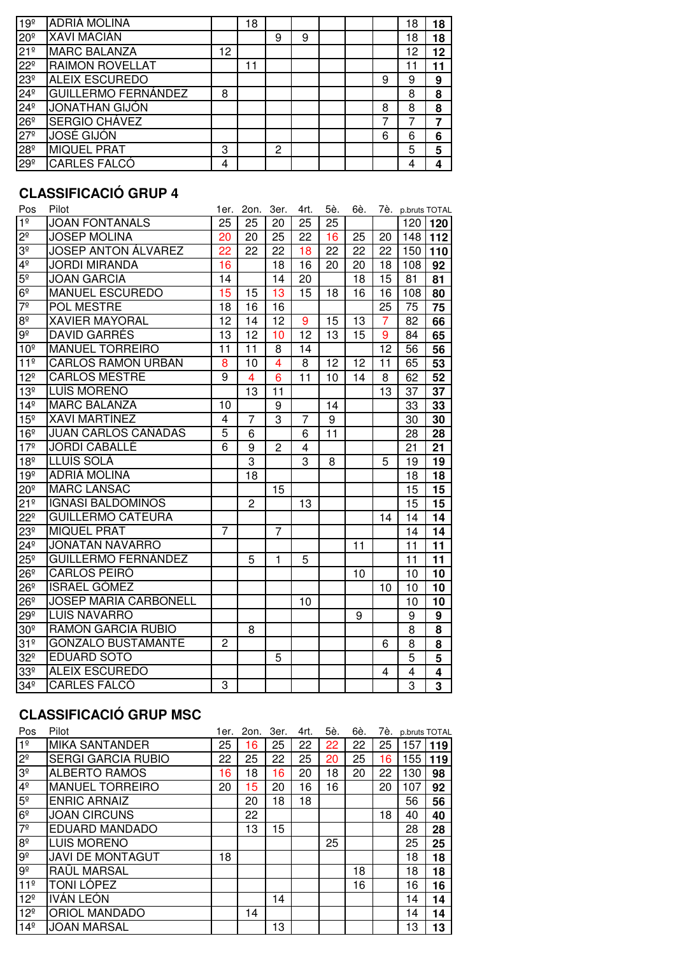| 19 <sup>°</sup> | <b>ADRIÀ MOLINA</b>        |    | 18 |   |   |  |   | 18 | 18 |
|-----------------|----------------------------|----|----|---|---|--|---|----|----|
| 20 <sup>°</sup> | <b>XAVI MACIÁN</b>         |    |    | 9 | 9 |  |   | 18 | 18 |
| 21 <sup>°</sup> | <b>MARC BALANZA</b>        | 12 |    |   |   |  |   | 12 | 12 |
| 22 <sup>°</sup> | <b>RAIMON ROVELLAT</b>     |    | 11 |   |   |  |   | 11 | 11 |
| 23 <sup>°</sup> | <b>ALEIX ESCUREDO</b>      |    |    |   |   |  | 9 | 9  | 9  |
| 24 <sup>°</sup> | <b>GUILLERMO FERNÁNDEZ</b> | 8  |    |   |   |  |   | 8  | 8  |
| $24^{\circ}$    | <b>JONATHAN GIJÓN</b>      |    |    |   |   |  | 8 | 8  | 8  |
| 26 <sup>°</sup> | SERGIO CHÁVEZ              |    |    |   |   |  |   |    | 7  |
| 27 <sup>°</sup> | <b>JOSÉ GIJÓN</b>          |    |    |   |   |  | 6 | 6  | 6  |
| 28 <sup>°</sup> | <b>MIQUEL PRAT</b>         | 3  |    | 2 |   |  |   | 5  | 5  |
| 29 <sup>°</sup> | <b>CARLES FALCÓ</b>        | 4  |    |   |   |  |   | 4  |    |

### **CLASSIFICACIÓ GRUP 4**

| Pos                 | Pilot                      | 1er.            | 2on.           | 3er.           | 4rt.            | 5è. | 6è. | 7è.             |                 | p.bruts TOTAL           |
|---------------------|----------------------------|-----------------|----------------|----------------|-----------------|-----|-----|-----------------|-----------------|-------------------------|
| 1 <sup>°</sup>      | <b>JOAN FONTANALS</b>      | 25              | 25             | 20             | 25              | 25  |     |                 | 120             | 120                     |
| $2^{\circ}$         | <b>JOSEP MOLINA</b>        | 20              | 20             | 25             | 22              | 16  | 25  | 20              | 148             | 112                     |
| 3 <sup>o</sup>      | <b>JOSEP ANTON ÁLVAREZ</b> | $\overline{22}$ | 22             | 22             | 18              | 22  | 22  | 22              | 150             | 110                     |
| 4 <sup>°</sup>      | <b>JORDI MIRANDA</b>       | 16              |                | 18             | 16              | 20  | 20  | 18              | 108             | 92                      |
| 5 <sup>o</sup>      | <b>JOAN GARCIA</b>         | $\overline{14}$ |                | 14             | 20              |     | 18  | 15              | $\overline{81}$ | 81                      |
| 6 <sup>°</sup>      | <b>MANUEL ESCUREDO</b>     | $\overline{15}$ | 15             | 13             | 15              | 18  | 16  | 16              | 108             | 80                      |
| 7 <sup>°</sup>      | <b>POL MESTRE</b>          | 18              | 16             | 16             |                 |     |     | 25              | 75              | 75                      |
| $8^{\circ}$         | <b>XAVIER MAYORAL</b>      | $\overline{12}$ | 14             | 12             | 9               | 15  | 13  | 7               | 82              | 66                      |
| $9^{\circ}$         | <b>DAVID GARRÉS</b>        | $\overline{13}$ | 12             | 10             | $\overline{12}$ | 13  | 15  | 9               | 84              | 65                      |
| 10 <sup>°</sup>     | <b>MANUEL TORREIRO</b>     | $\overline{11}$ | 11             | 8              | 14              |     |     | $\overline{12}$ | 56              | 56                      |
| 11 <sup>°</sup>     | <b>CARLOS RAMON URBAN</b>  | 8               | 10             | 4              | 8               | 12  | 12  | 11              | 65              | 53                      |
| 12 <sup>°</sup>     | <b>CARLOS MESTRE</b>       | 9               | 4              | 6              | 11              | 10  | 14  | 8               | 62              | 52                      |
| 13 <sup>°</sup>     | LUÍS MORENO                |                 | 13             | 11             |                 |     |     | 13              | 37              | 37                      |
| $14^{\circ}$        | <b>MARC BALANZA</b>        | 10              |                | 9              |                 | 14  |     |                 | 33              | 33                      |
| 15 <sup>°</sup>     | <b>XAVI MARTÍNEZ</b>       | 4               | $\overline{7}$ | 3              | 7               | 9   |     |                 | 30              | 30                      |
| 16 <sup>°</sup>     | JUAN CARLOS CAÑADAS        | 5               | 6              |                | 6               | 11  |     |                 | 28              | 28                      |
| 17 <sup>°</sup>     | <b>JORDI CABALLÉ</b>       | 6               | 9              | $\overline{2}$ | 4               |     |     |                 | 21              | 21                      |
| 18 <sup>°</sup>     | LLUÍS SOLÀ                 |                 | 3              |                | 3               | 8   |     | 5               | 19              | 19                      |
| 19 <sup>°</sup>     | ADRIÀ MOLINA               |                 | 18             |                |                 |     |     |                 | 18              | 18                      |
| $20^{\circ}$        | <b>MARC LANSAC</b>         |                 |                | 15             |                 |     |     |                 | 15              | 15                      |
| 21 <sup>°</sup>     | <b>IGNASI BALDOMINOS</b>   |                 | $\overline{2}$ |                | 13              |     |     |                 | 15              | 15                      |
| $22^{\circ}$        | <b>GUILLERMO CATEURA</b>   |                 |                |                |                 |     |     | 14              | 14              | 14                      |
| 23 <sup>°</sup>     | <b>MIQUEL PRAT</b>         | $\overline{7}$  |                | $\overline{7}$ |                 |     |     |                 | 14              | 14                      |
| $24^{\circ}$        | <b>JONATAN NAVARRO</b>     |                 |                |                |                 |     | 11  |                 | 11              | 11                      |
| $25^{\circ}$        | <b>GUILLERMO FERNÁNDEZ</b> |                 | 5              | 1              | 5               |     |     |                 | 11              | 11                      |
| 26 <sup>°</sup>     | <b>CARLOS PEIRÓ</b>        |                 |                |                |                 |     | 10  |                 | 10              | 10                      |
| $26^{\circ}$        | <b>ISRAEL GÓMEZ</b>        |                 |                |                |                 |     |     | 10              | 10              | 10                      |
| $26^{\circ}$        | JOSEP MARIA CARBONELL      |                 |                |                | 10              |     |     |                 | 10              | 10                      |
| $29^{\circ}$        | <b>LUIS NAVARRO</b>        |                 |                |                |                 |     | 9   |                 | 9               | 9                       |
| 30 <sup>°</sup>     | RAMON GARCIA RUBIO         |                 | 8              |                |                 |     |     |                 | 8               | 8                       |
| 31 <sup>°</sup>     | <b>GONZALO BUSTAMANTE</b>  | $\overline{2}$  |                |                |                 |     |     | 6               | 8               | 8                       |
| $32^{\circ}$        | <b>EDUARD SOTO</b>         |                 |                | 5              |                 |     |     |                 | $\overline{5}$  | 5                       |
| $33^{\overline{2}}$ | <b>ALEIX ESCUREDO</b>      |                 |                |                |                 |     |     | 4               | 4               | 4                       |
| 34 <sup>°</sup>     | <b>CARLES FALCÓ</b>        | 3               |                |                |                 |     |     |                 | $\overline{3}$  | $\overline{\mathbf{3}}$ |

#### **CLASSIFICACIÓ GRUP MSC**

| Pos                                 | Pilot                     | 1er. | 2on. 3er. |    | 4rt. | 5è. | 6è. | 7è. | p.bruts TOTAL |     |
|-------------------------------------|---------------------------|------|-----------|----|------|-----|-----|-----|---------------|-----|
| 1 <sup>°</sup>                      | <b>MIKA SANTANDER</b>     | 25   | 16        | 25 | 22   | 22  | 22  | 25  | 157           | 119 |
| $\overline{S}$                      | <b>SERGI GARCIA RUBIO</b> | 22   | 25        | 22 | 25   | 20  | 25  | 16  | 155           | 119 |
| 3 <sup>o</sup>                      | <b>ALBERTO RAMOS</b>      | 16   | 18        | 16 | 20   | 18  | 20  | 22  | 130           | 98  |
| 4 <sup>°</sup>                      | <b>MANUEL TORREIRO</b>    | 20   | 15        | 20 | 16   | 16  |     | 20  | 107           | 92  |
| 5 <sup>°</sup>                      | <b>ENRIC ARNAIZ</b>       |      | 20        | 18 | 18   |     |     |     | 56            | 56  |
| 6 <sup>°</sup>                      | <b>JOAN CIRCUNS</b>       |      | 22        |    |      |     |     | 18  | 40            | 40  |
| $\overline{\overline{\overline{}}}$ | EDUARD MANDADO            |      | 13        | 15 |      |     |     |     | 28            | 28  |
| 8 <sup>°</sup>                      | <b>LUIS MORENO</b>        |      |           |    |      | 25  |     |     | 25            | 25  |
| <sub>ଟି</sub>                       | <b>JAVI DE MONTAGUT</b>   | 18   |           |    |      |     |     |     | 18            | 18  |
| $9^{\circ}$                         | RAÜL MARSAL               |      |           |    |      |     | 18  |     | 18            | 18  |
| 11 <sup>°</sup>                     | TONI LÓPEZ                |      |           |    |      |     | 16  |     | 16            | 16  |
| 12 <sup>°</sup>                     | IVÁN LEÓN                 |      |           | 14 |      |     |     |     | 14            | 14  |
| 12 <sup>°</sup>                     | <b>ORIOL MANDADO</b>      |      | 14        |    |      |     |     |     | 14            | 14  |
| $14^{\circ}$                        | <b>JOAN MARSAL</b>        |      |           | 13 |      |     |     |     | 13            | 13  |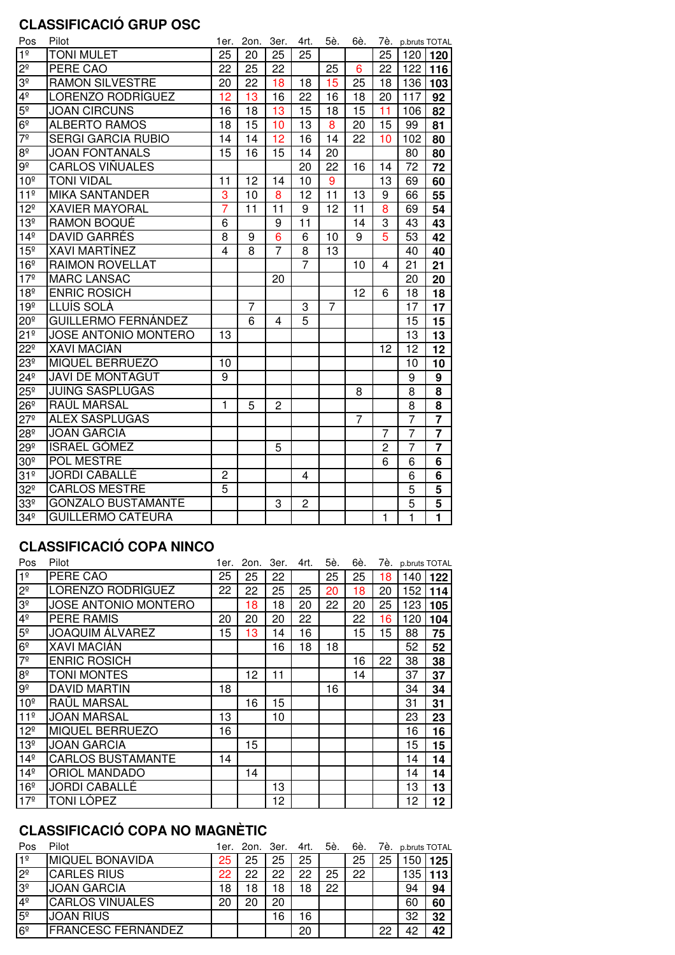### **CLASSIFICACIÓ GRUP OSC**

| Pos             | Pilot                       | 1er.           | 2on.            | 3er.            | 4rt.            | 5è.             | 6è.             | 7è.             |                 | p.bruts TOTAL           |
|-----------------|-----------------------------|----------------|-----------------|-----------------|-----------------|-----------------|-----------------|-----------------|-----------------|-------------------------|
| 1 <sup>°</sup>  | <b>TONI MULET</b>           | 25             | 20              | 25              | 25              |                 |                 | 25              | 120             | 120                     |
| $2^{\circ}$     | PERE CAO                    | 22             | 25              | 22              |                 | 25              | 6               | 22              | 122             | 116                     |
| 3 <sup>°</sup>  | <b>RAMON SILVESTRE</b>      | 20             | 22              | 18              | 18              | 15              | 25              | 18              | 136             | 103                     |
| 4 <sup>°</sup>  | <b>LORENZO RODRÍGUEZ</b>    | 12             | 13              | 16              | 22              | 16              | 18              | 20              | 117             | 92                      |
| 5 <sup>o</sup>  | <b>JOAN CIRCUNS</b>         | 16             | 18              | $\overline{13}$ | 15              | 18              | 15              | $\overline{11}$ | 106             | 82                      |
| 6 <sup>°</sup>  | <b>ALBERTO RAMOS</b>        | 18             | 15              | 10              | 13              | 8               | 20              | 15              | 99              | 81                      |
| 7 <sup>o</sup>  | <b>SERGI GARCIA RUBIO</b>   | 14             | 14              | 12              | 16              | 14              | 22              | 10              | 102             | 80                      |
| 8 <sup>°</sup>  | <b>JOAN FONTANALS</b>       | 15             | 16              | 15              | 14              | 20              |                 |                 | 80              | 80                      |
| $9^{\circ}$     | <b>CARLOS VIÑUALES</b>      |                |                 |                 | 20              | 22              | 16              | 14              | 72              | 72                      |
| 10 <sup>°</sup> | <b>TONI VIDAL</b>           | 11             | 12              | 14              | 10              | 9               |                 | 13              | 69              | 60                      |
| 11 <sup>°</sup> | <b>MIKA SANTANDER</b>       | 3              | 10              | 8               | $\overline{12}$ | $\overline{11}$ | $\overline{13}$ | $\overline{9}$  | 66              | 55                      |
| 12 <sup>°</sup> | <b>XAVIER MAYORAL</b>       | $\overline{7}$ | $\overline{11}$ | $\overline{11}$ | $\overline{9}$  | 12              | $\overline{11}$ | 8               | 69              | 54                      |
| 13 <sup>°</sup> | <b>RAMON BOQUÉ</b>          | 6              |                 | 9               | $\overline{11}$ |                 | 14              | 3               | 43              | 43                      |
| 14 <sup>°</sup> | <b>DAVID GARRÉS</b>         | 8              | 9               | 6               | 6               | 10              | 9               | 5               | 53              | 42                      |
| 15 <sup>°</sup> | <b>XAVI MARTÍNEZ</b>        | 4              | 8               | 7               | 8               | 13              |                 |                 | 40              | 40                      |
| 16 <sup>°</sup> | <b>RAIMON ROVELLAT</b>      |                |                 |                 | $\overline{7}$  |                 | 10              | 4               | 21              | 21                      |
| 17 <sup>°</sup> | <b>MARC LANSAC</b>          |                |                 | 20              |                 |                 |                 |                 | 20              | 20                      |
| 18 <sup>°</sup> | <b>ENRIC ROSICH</b>         |                |                 |                 |                 |                 | 12              | 6               | 18              | 18                      |
| 19 <sup>°</sup> | LLUÍS SOLÀ                  |                | $\overline{7}$  |                 | 3               | $\overline{7}$  |                 |                 | $\overline{17}$ | 17                      |
| $20^{\circ}$    | <b>GUILLERMO FERNÁNDEZ</b>  |                | 6               | 4               | $\overline{5}$  |                 |                 |                 | $\overline{15}$ | 15                      |
| 21 <sup>°</sup> | <b>JOSE ANTONIO MONTERO</b> | 13             |                 |                 |                 |                 |                 |                 | 13              | 13                      |
| $22^{\circ}$    | <b>XAVI MACIÁN</b>          |                |                 |                 |                 |                 |                 | 12              | 12              | 12                      |
| 23 <sup>°</sup> | <b>MIQUEL BERRUEZO</b>      | 10             |                 |                 |                 |                 |                 |                 | 10              | 10                      |
| $24^{\circ}$    | <b>JAVI DE MONTAGUT</b>     | 9              |                 |                 |                 |                 |                 |                 | 9               | 9                       |
| $25^{\circ}$    | <b>JUING SASPLUGAS</b>      |                |                 |                 |                 |                 | 8               |                 | 8               | 8                       |
| 26 <sup>°</sup> | RAÜL MARSAL                 | $\mathbf{1}$   | 5               | $\overline{2}$  |                 |                 |                 |                 | 8               | 8                       |
| $27^{\circ}$    | <b>ALEX SASPLUGAS</b>       |                |                 |                 |                 |                 | $\overline{7}$  |                 | $\overline{7}$  | $\overline{7}$          |
| $28^{\circ}$    | <b>JOAN GARCIA</b>          |                |                 |                 |                 |                 |                 | 7               | $\overline{7}$  |                         |
| $29^{\circ}$    | <b>ISRAEL GÓMEZ</b>         |                |                 | 5               |                 |                 |                 | $\overline{c}$  | $\overline{7}$  | $\overline{7}$          |
| 30 <sup>°</sup> | POL MESTRE                  |                |                 |                 |                 |                 |                 | 6               | 6               | 6                       |
| 31 <sup>°</sup> | <b>JORDI CABALLÉ</b>        | $\overline{2}$ |                 |                 | $\overline{4}$  |                 |                 |                 | 6               | 6                       |
| $32^{\circ}$    | <b>CARLOS MESTRE</b>        | $\overline{5}$ |                 |                 |                 |                 |                 |                 | 5               | 5                       |
| 33 <sup>°</sup> | <b>GONZALO BUSTAMANTE</b>   |                |                 | 3               | $\overline{c}$  |                 |                 |                 | $\overline{5}$  | $\overline{\mathbf{5}}$ |
| 34 <sup>°</sup> | <b>GUILLERMO CATEURA</b>    |                |                 |                 |                 |                 |                 | $\mathbf{1}$    | $\mathbf{1}$    | $\mathbf{1}$            |

### **CLASSIFICACIÓ COPA NINCO**

| Pos             | Pilot                       | 1er. |    | 2on. 3er. | 4rt. | 5è. | 6è. |    | 7è. p.bruts TOTAL |     |
|-----------------|-----------------------------|------|----|-----------|------|-----|-----|----|-------------------|-----|
| 1 <sup>°</sup>  | PERE CAO                    | 25   | 25 | 22        |      | 25  | 25  | 18 | 140               | 122 |
| $2^{\circ}$     | LORENZO RODRÍGUEZ           | 22   | 22 | 25        | 25   | 20  | 18  | 20 | 152               | 114 |
| 3 <sup>o</sup>  | <b>JOSE ANTONIO MONTERO</b> |      | 18 | 18        | 20   | 22  | 20  | 25 | 123               | 105 |
| 4 <sup>°</sup>  | <b>PERE RAMIS</b>           | 20   | 20 | 20        | 22   |     | 22  | 16 | 120               | 104 |
| 5 <sup>o</sup>  | <b>JOAQUIM ÁLVAREZ</b>      | 15   | 13 | 14        | 16   |     | 15  | 15 | 88                | 75  |
| 6 <sup>°</sup>  | <b>XAVI MACIÁN</b>          |      |    | 16        | 18   | 18  |     |    | 52                | 52  |
| 7 <sup>o</sup>  | <b>ENRIC ROSICH</b>         |      |    |           |      |     | 16  | 22 | 38                | 38  |
| $8^{\circ}$     | <b>TONI MONTES</b>          |      | 12 | 11        |      |     | 14  |    | 37                | 37  |
| $9^{\circ}$     | <b>DAVID MARTIN</b>         | 18   |    |           |      | 16  |     |    | 34                | 34  |
| 10 <sup>°</sup> | RAÜL MARSAL                 |      | 16 | 15        |      |     |     |    | 31                | 31  |
| 11 <sup>°</sup> | <b>JOAN MARSAL</b>          | 13   |    | 10        |      |     |     |    | 23                | 23  |
| 12 <sup>°</sup> | <b>MIQUEL BERRUEZO</b>      | 16   |    |           |      |     |     |    | 16                | 16  |
| 13 <sup>°</sup> | <b>JOAN GARCIA</b>          |      | 15 |           |      |     |     |    | 15                | 15  |
| 14 <sup>°</sup> | <b>CARLOS BUSTAMANTE</b>    | 14   |    |           |      |     |     |    | 14                | 14  |
| 14 <sup>°</sup> | <b>ORIOL MANDADO</b>        |      | 14 |           |      |     |     |    | 14                | 14  |
| 16 <sup>°</sup> | <b>JORDI CABALLÉ</b>        |      |    | 13        |      |     |     |    | 13                | 13  |
| 17 <sup>°</sup> | TONI LÓPEZ                  |      |    | 12        |      |     |     |    | 12                | 12  |

# **CLASSIFICACIÓ COPA NO MAGNÈTIC**

| Pos            | Pilot                     |    |    |    |    |    |    |    | 1er. 2on. 3er. 4rt. 5è. 6è. 7è. p.bruts.TOTAL |         |
|----------------|---------------------------|----|----|----|----|----|----|----|-----------------------------------------------|---------|
| 1 <sup>°</sup> | <b>MIQUEL BONAVIDA</b>    | 25 | 25 | 25 | 25 |    | 25 | 25 |                                               | 150 125 |
| 2 <sup>o</sup> | <b>CARLES RIUS</b>        | 22 | 22 | 22 | 22 | 25 | 22 |    | 135 <sub>1</sub>                              | 113     |
| က်             | <b>JOAN GARCIA</b>        | 18 | 18 | 18 | 18 | 22 |    |    | 94                                            | 94      |
| 4 <sup>°</sup> | <b>CARLOS VIÑUALES</b>    | 20 | 20 | 20 |    |    |    |    | 60                                            | 60      |
| $5^{\circ}$    | <b>JOAN RIUS</b>          |    |    | 16 | 16 |    |    |    | 32                                            | 32      |
| 6 <sup>°</sup> | <b>FRANCESC FERNÁNDEZ</b> |    |    |    | 20 |    |    | 22 | 42                                            | 42      |